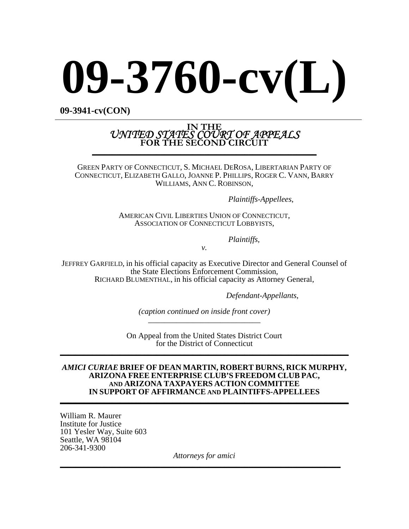# **09-3760-cv(L)**

**09-3941-cv(CON)** 

# IN THE<br>*UNITED STATES COURT OF APPEALS*<br>FOR THE SECOND CIRCUIT

GREEN PARTY OF CONNECTICUT, S. MICHAEL DEROSA, LIBERTARIAN PARTY OF CONNECTICUT, ELIZABETH GALLO, JOANNE P. PHILLIPS, ROGER C. VANN, BARRY WILLIAMS, ANN C. ROBINSON,

*Plaintiffs-Appellees*,

AMERICAN CIVIL LIBERTIES UNION OF CONNECTICUT, ASSOCIATION OF CONNECTICUT LOBBYISTS,

*Plaintiffs,*

*v.* 

JEFFREY GARFIELD, in his official capacity as Executive Director and General Counsel of the State Elections Enforcement Commission, RICHARD BLUMENTHAL, in his official capacity as Attorney General,

 *Defendant-Appellants*,

*(caption continued on inside front cover)* \_\_\_\_\_\_\_\_\_\_\_\_\_\_\_\_\_\_\_\_\_\_\_\_\_\_\_\_

On Appeal from the United States District Court for the District of Connecticut **\_\_\_\_\_\_\_\_\_\_\_\_\_\_\_\_\_\_\_\_\_\_\_\_\_\_\_\_\_\_\_\_\_\_\_\_\_\_\_\_\_\_\_\_\_\_\_\_\_\_\_\_\_\_\_\_\_\_\_\_\_\_\_\_\_\_\_\_\_\_\_\_**

#### *AMICI CURIAE* **BRIEF OF DEAN MARTIN, ROBERT BURNS, RICK MURPHY, ARIZONA FREE ENTERPRISE CLUB'S FREEDOM CLUB PAC, AND ARIZONA TAXPAYERS ACTION COMMITTEE IN SUPPORT OF AFFIRMANCE AND PLAINTIFFS-APPELLEES \_\_\_\_\_\_\_\_\_\_\_\_\_\_\_\_\_\_\_\_\_\_\_\_\_\_\_\_\_\_\_\_\_\_\_\_\_\_\_\_\_\_\_\_\_\_\_\_\_\_\_\_\_\_\_\_\_\_\_\_\_\_\_\_\_\_\_\_\_\_\_\_**

William R. Maurer Institute for Justice 101 Yesler Way, Suite 603 Seattle, WA 98104<br>206-341-9300

206-341-9300 *Attorneys for amici* **\_\_\_\_\_\_\_\_\_\_\_\_\_\_\_\_\_\_\_\_\_\_\_\_\_\_\_\_\_\_\_\_\_\_\_\_\_\_\_\_\_\_\_\_\_\_\_\_\_\_\_\_\_\_\_\_\_\_\_\_\_\_\_\_\_\_\_\_\_\_**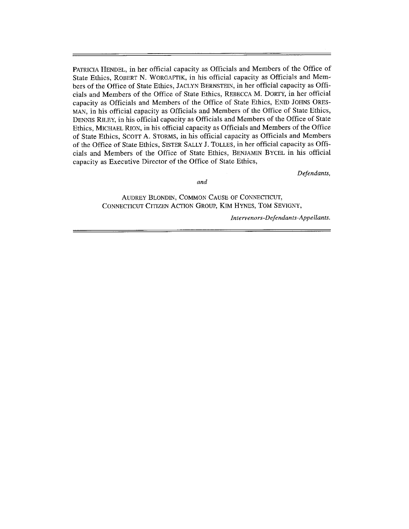PATRICIA HENDEL, in her official capacity as Officials and Members of the Office of State Ethics, ROBERT N. WORGAFTIK, in his official capacity as Officials and Members of the Office of State Ethics, JACLYN BERNSTEIN, in her official capacity as Officials and Members of the Office of State Ethics, REBECCA M. DORTY, in her official capacity as Officials and Members of the Office of State Ethics, ENID JOHNS ORES-MAN, in his official capacity as Officials and Members of the Office of State Ethics, DENNIS RILEY, in his official capacity as Officials and Members of the Office of State Ethics, MICHAEL RION, in his official capacity as Officials and Members of the Office of State Ethics, SCOTT A. STORMS, in his official capacity as Officials and Members of the Office of State Ethics, SISTER SALLY J. TOLLES, in her official capacity as Officials and Members of the Office of State Ethics, BENJAMIN BYCEL in his official capacity as Executive Director of the Office of State Ethics,

Defendants,

and

AUDREY BLONDIN, COMMON CAUSE OF CONNECTICUT, CONNECTICUT CITIZEN ACTION GROUP, KIM HYNES, TOM SEVIGNY,

Intervenors-Defendants-Appellants.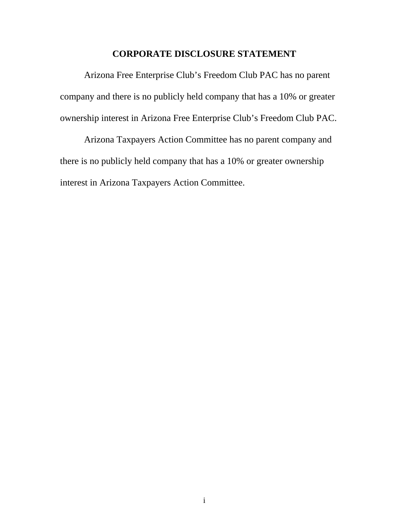### **CORPORATE DISCLOSURE STATEMENT**

Arizona Free Enterprise Club's Freedom Club PAC has no parent company and there is no publicly held company that has a 10% or greater ownership interest in Arizona Free Enterprise Club's Freedom Club PAC.

Arizona Taxpayers Action Committee has no parent company and there is no publicly held company that has a 10% or greater ownership interest in Arizona Taxpayers Action Committee.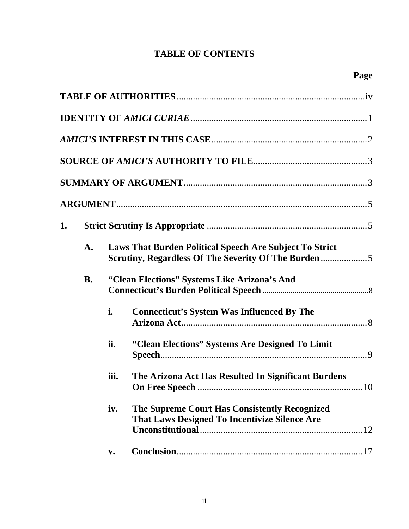# **TABLE OF CONTENTS**

| 1. |           |                                              |                                                                                                |  |
|----|-----------|----------------------------------------------|------------------------------------------------------------------------------------------------|--|
|    | A.        |                                              | <b>Laws That Burden Political Speech Are Subject To Strict</b>                                 |  |
|    | <b>B.</b> | "Clean Elections" Systems Like Arizona's And |                                                                                                |  |
|    |           | i.                                           | <b>Connecticut's System Was Influenced By The</b>                                              |  |
|    |           | ii.                                          | "Clean Elections" Systems Are Designed To Limit                                                |  |
|    |           | iii.                                         | The Arizona Act Has Resulted In Significant Burdens<br>10<br>On Free Speech                    |  |
|    |           | iv.                                          | The Supreme Court Has Consistently Recognized<br>That Laws Designed To Incentivize Silence Are |  |
|    |           | $\mathbf{v}$ .                               |                                                                                                |  |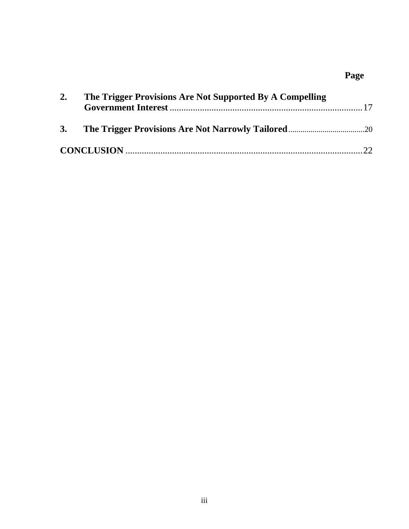# **Page**

| 2. | The Trigger Provisions Are Not Supported By A Compelling |  |
|----|----------------------------------------------------------|--|
|    |                                                          |  |
|    |                                                          |  |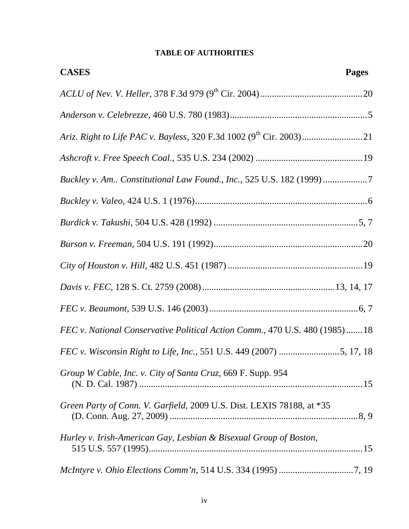# **TABLE OF AUTHORITIES**

| <b>CASES</b><br><b>Pages</b>                                                |
|-----------------------------------------------------------------------------|
|                                                                             |
|                                                                             |
|                                                                             |
|                                                                             |
| Buckley v. Am Constitutional Law Found., Inc., 525 U.S. 182 (1999) 7        |
|                                                                             |
|                                                                             |
|                                                                             |
|                                                                             |
|                                                                             |
|                                                                             |
| FEC v. National Conservative Political Action Comm., 470 U.S. 480 (1985) 18 |
| FEC v. Wisconsin Right to Life, Inc., 551 U.S. 449 (2007) 5, 17, 18         |
| Group W Cable, Inc. v. City of Santa Cruz, 669 F. Supp. 954                 |
| Green Party of Conn. V. Garfield, 2009 U.S. Dist. LEXIS 78188, at *35       |
| Hurley v. Irish-American Gay, Lesbian & Bisexual Group of Boston,           |
|                                                                             |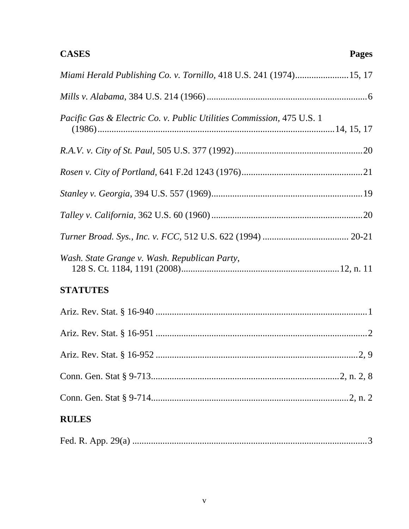# **CASES**

| <b>RULES</b>                                                          |
|-----------------------------------------------------------------------|
|                                                                       |
|                                                                       |
|                                                                       |
|                                                                       |
|                                                                       |
| <b>STATUTES</b>                                                       |
| Wash. State Grange v. Wash. Republican Party,                         |
|                                                                       |
|                                                                       |
|                                                                       |
|                                                                       |
|                                                                       |
| Pacific Gas & Electric Co. v. Public Utilities Commission, 475 U.S. 1 |
|                                                                       |
| Miami Herald Publishing Co. v. Tornillo, 418 U.S. 241 (1974)15, 17    |

|--|--|--|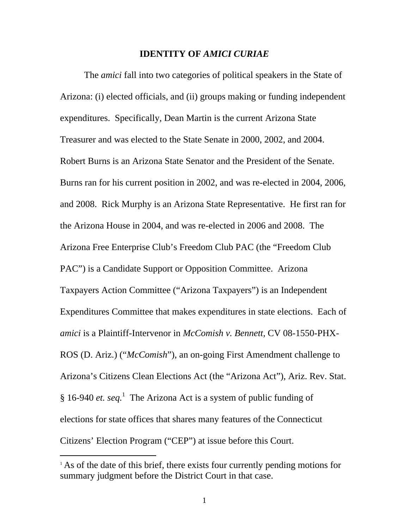#### **IDENTITY OF** *AMICI CURIAE*

The *amici* fall into two categories of political speakers in the State of Arizona: (i) elected officials, and (ii) groups making or funding independent expenditures. Specifically, Dean Martin is the current Arizona State Treasurer and was elected to the State Senate in 2000, 2002, and 2004. Robert Burns is an Arizona State Senator and the President of the Senate. Burns ran for his current position in 2002, and was re-elected in 2004, 2006, and 2008. Rick Murphy is an Arizona State Representative. He first ran for the Arizona House in 2004, and was re-elected in 2006 and 2008. The Arizona Free Enterprise Club's Freedom Club PAC (the "Freedom Club PAC") is a Candidate Support or Opposition Committee. Arizona Taxpayers Action Committee ("Arizona Taxpayers") is an Independent Expenditures Committee that makes expenditures in state elections. Each of *amici* is a Plaintiff-Intervenor in *McComish v. Bennett*, CV 08-1550-PHX-ROS (D. Ariz.) ("*McComish*"), an on-going First Amendment challenge to Arizona's Citizens Clean Elections Act (the "Arizona Act"), Ariz. Rev. Stat. § [1](#page-7-0)6-940 *et. seq.*<sup>1</sup> The Arizona Act is a system of public funding of elections for state offices that shares many features of the Connecticut Citizens' Election Program ("CEP") at issue before this Court.

<span id="page-7-0"></span><sup>&</sup>lt;sup>1</sup> As of the date of this brief, there exists four currently pending motions for summary judgment before the District Court in that case.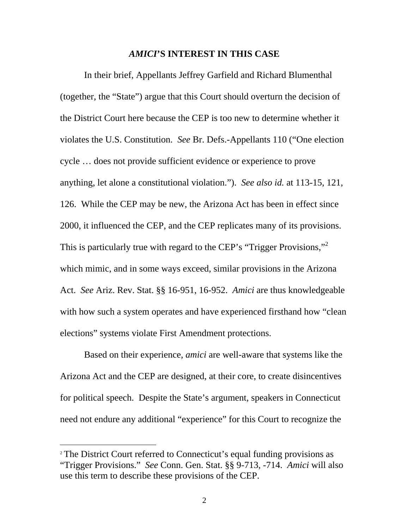#### *AMICI***'S INTEREST IN THIS CASE**

In their brief, Appellants Jeffrey Garfield and Richard Blumenthal (together, the "State") argue that this Court should overturn the decision of the District Court here because the CEP is too new to determine whether it violates the U.S. Constitution. *See* Br. Defs.-Appellants 110 ("One election cycle … does not provide sufficient evidence or experience to prove anything, let alone a constitutional violation."). *See also id.* at 113-15, 121, 126. While the CEP may be new, the Arizona Act has been in effect since 2000, it influenced the CEP, and the CEP replicates many of its provisions. This is particularly true with regard to the CEP's "Trigger Provisions,"<sup>[2](#page-8-0)</sup> which mimic, and in some ways exceed, similar provisions in the Arizona Act. *See* Ariz. Rev. Stat. §§ 16-951, 16-952. *Amici* are thus knowledgeable with how such a system operates and have experienced firsthand how "clean elections" systems violate First Amendment protections.

 Based on their experience, *amici* are well-aware that systems like the Arizona Act and the CEP are designed, at their core, to create disincentives for political speech. Despite the State's argument, speakers in Connecticut need not endure any additional "experience" for this Court to recognize the

<span id="page-8-0"></span><sup>&</sup>lt;sup>2</sup> The District Court referred to Connecticut's equal funding provisions as "Trigger Provisions." *See* Conn. Gen. Stat. §§ 9-713, -714. *Amici* will also use this term to describe these provisions of the CEP.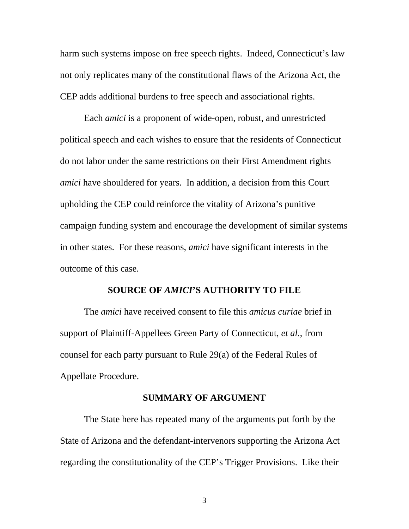harm such systems impose on free speech rights. Indeed, Connecticut's law not only replicates many of the constitutional flaws of the Arizona Act, the CEP adds additional burdens to free speech and associational rights.

Each *amici* is a proponent of wide-open, robust, and unrestricted political speech and each wishes to ensure that the residents of Connecticut do not labor under the same restrictions on their First Amendment rights *amici* have shouldered for years. In addition, a decision from this Court upholding the CEP could reinforce the vitality of Arizona's punitive campaign funding system and encourage the development of similar systems in other states. For these reasons, *amici* have significant interests in the outcome of this case.

#### **SOURCE OF** *AMICI***'S AUTHORITY TO FILE**

The *amici* have received consent to file this *amicus curiae* brief in support of Plaintiff-Appellees Green Party of Connecticut, *et al.*, from counsel for each party pursuant to Rule 29(a) of the Federal Rules of Appellate Procedure.

#### **SUMMARY OF ARGUMENT**

The State here has repeated many of the arguments put forth by the State of Arizona and the defendant-intervenors supporting the Arizona Act regarding the constitutionality of the CEP's Trigger Provisions. Like their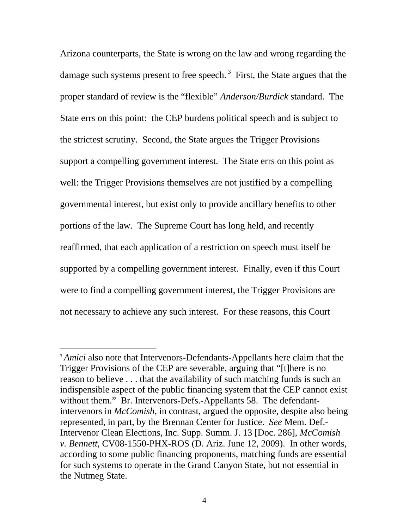Arizona counterparts, the State is wrong on the law and wrong regarding the damage such systems present to free speech.<sup>3</sup> First, the State argues that the proper standard of review is the "flexible" *Anderson/Burdick* standard. The State errs on this point: the CEP burdens political speech and is subject to the strictest scrutiny. Second, the State argues the Trigger Provisions support a compelling government interest. The State errs on this point as well: the Trigger Provisions themselves are not justified by a compelling governmental interest, but exist only to provide ancillary benefits to other portions of the law. The Supreme Court has long held, and recently reaffirmed, that each application of a restriction on speech must itself be supported by a compelling government interest. Finally, even if this Court were to find a compelling government interest, the Trigger Provisions are not necessary to achieve any such interest. For these reasons, this Court

<span id="page-10-0"></span><sup>&</sup>lt;sup>3</sup> *Amici* also note that Intervenors-Defendants-Appellants here claim that the Trigger Provisions of the CEP are severable, arguing that "[t]here is no reason to believe . . . that the availability of such matching funds is such an indispensible aspect of the public financing system that the CEP cannot exist without them." Br. Intervenors-Defs.-Appellants 58. The defendantintervenors in *McComish*, in contrast, argued the opposite, despite also being represented, in part, by the Brennan Center for Justice. *See* Mem. Def.- Intervenor Clean Elections, Inc. Supp. Summ. J. 13 [Doc. 286], *McComish v. Bennett*, CV08-1550-PHX-ROS (D. Ariz. June 12, 2009). In other words, according to some public financing proponents, matching funds are essential for such systems to operate in the Grand Canyon State, but not essential in the Nutmeg State.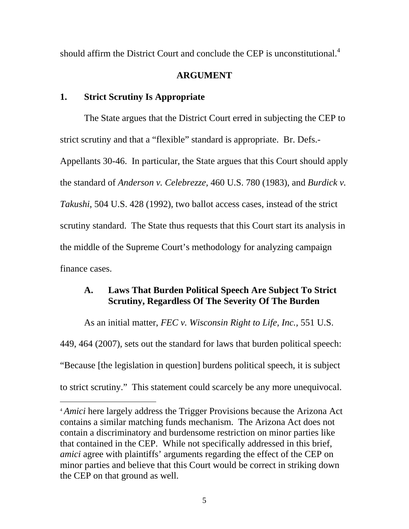should affirm the District Court and conclude the CEP is unconstitutional.<sup>[4](#page-11-0)</sup>

# **ARGUMENT**

# **1. Strict Scrutiny Is Appropriate**

 $\overline{a}$ 

The State argues that the District Court erred in subjecting the CEP to strict scrutiny and that a "flexible" standard is appropriate. Br. Defs.- Appellants 30-46. In particular, the State argues that this Court should apply the standard of *Anderson v. Celebrezze,* 460 U.S. 780 (1983), and *Burdick v. Takushi,* 504 U.S. 428 (1992), two ballot access cases, instead of the strict scrutiny standard. The State thus requests that this Court start its analysis in the middle of the Supreme Court's methodology for analyzing campaign finance cases.

# **A. Laws That Burden Political Speech Are Subject To Strict Scrutiny, Regardless Of The Severity Of The Burden**

As an initial matter, *FEC v. Wisconsin Right to Life, Inc.,* 551 U.S. 449, 464 (2007), sets out the standard for laws that burden political speech: "Because [the legislation in question] burdens political speech, it is subject to strict scrutiny." This statement could scarcely be any more unequivocal.

<span id="page-11-0"></span><sup>4</sup> *Amici* here largely address the Trigger Provisions because the Arizona Act contains a similar matching funds mechanism. The Arizona Act does not contain a discriminatory and burdensome restriction on minor parties like that contained in the CEP. While not specifically addressed in this brief, *amici* agree with plaintiffs' arguments regarding the effect of the CEP on minor parties and believe that this Court would be correct in striking down the CEP on that ground as well.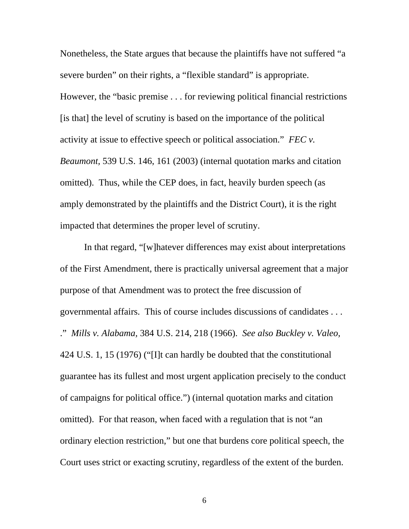Nonetheless, the State argues that because the plaintiffs have not suffered "a severe burden" on their rights, a "flexible standard" is appropriate. However, the "basic premise . . . for reviewing political financial restrictions [is that] the level of scrutiny is based on the importance of the political activity at issue to effective speech or political association." *FEC v. Beaumont,* 539 U.S. 146, 161 (2003) (internal quotation marks and citation omitted). Thus, while the CEP does, in fact, heavily burden speech (as amply demonstrated by the plaintiffs and the District Court), it is the right impacted that determines the proper level of scrutiny.

In that regard, "[w]hatever differences may exist about interpretations of the First Amendment, there is practically universal agreement that a major purpose of that Amendment was to protect the free discussion of governmental affairs. This of course includes discussions of candidates . . . ." *Mills v. Alabama,* 384 U.S. 214, 218 (1966). *See also Buckley v. Valeo,*  424 U.S. 1, 15 (1976) ("[I]t can hardly be doubted that the constitutional guarantee has its fullest and most urgent application precisely to the conduct of campaigns for political office.") (internal quotation marks and citation omitted). For that reason, when faced with a regulation that is not "an ordinary election restriction," but one that burdens core political speech, the Court uses strict or exacting scrutiny, regardless of the extent of the burden.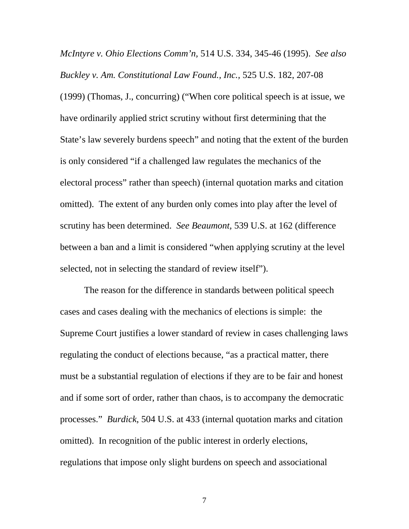*McIntyre v. Ohio Elections Comm'n,* 514 U.S. 334, 345-46 (1995). *See also Buckley v. Am. Constitutional Law Found., Inc.,* 525 U.S. 182, 207-08 (1999) (Thomas, J., concurring) ("When core political speech is at issue, we have ordinarily applied strict scrutiny without first determining that the State's law severely burdens speech" and noting that the extent of the burden is only considered "if a challenged law regulates the mechanics of the electoral process" rather than speech) (internal quotation marks and citation omitted). The extent of any burden only comes into play after the level of scrutiny has been determined. *See Beaumont,* 539 U.S. at 162 (difference between a ban and a limit is considered "when applying scrutiny at the level selected, not in selecting the standard of review itself").

The reason for the difference in standards between political speech cases and cases dealing with the mechanics of elections is simple: the Supreme Court justifies a lower standard of review in cases challenging laws regulating the conduct of elections because, "as a practical matter, there must be a substantial regulation of elections if they are to be fair and honest and if some sort of order, rather than chaos, is to accompany the democratic processes." *Burdick*, 504 U.S. at 433 (internal quotation marks and citation omitted). In recognition of the public interest in orderly elections, regulations that impose only slight burdens on speech and associational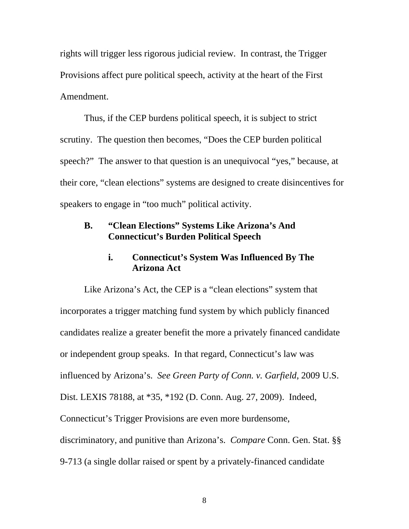rights will trigger less rigorous judicial review. In contrast, the Trigger Provisions affect pure political speech, activity at the heart of the First Amendment.

Thus, if the CEP burdens political speech, it is subject to strict scrutiny. The question then becomes, "Does the CEP burden political speech?" The answer to that question is an unequivocal "yes," because, at their core, "clean elections" systems are designed to create disincentives for speakers to engage in "too much" political activity.

# **B. "Clean Elections" Systems Like Arizona's And Connecticut's Burden Political Speech**

### **i. Connecticut's System Was Influenced By The Arizona Act**

Like Arizona's Act, the CEP is a "clean elections" system that incorporates a trigger matching fund system by which publicly financed candidates realize a greater benefit the more a privately financed candidate or independent group speaks. In that regard, Connecticut's law was influenced by Arizona's. *See Green Party of Conn. v. Garfield*, 2009 U.S. Dist. LEXIS 78188, at \*35, \*192 (D. Conn. Aug. 27, 2009). Indeed, Connecticut's Trigger Provisions are even more burdensome, discriminatory, and punitive than Arizona's. *Compare* Conn. Gen. Stat. §§ 9-713 (a single dollar raised or spent by a privately-financed candidate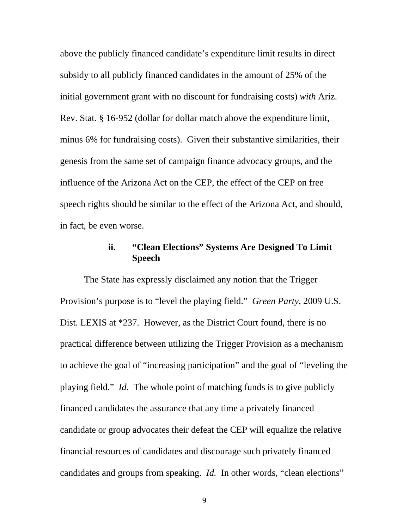above the publicly financed candidate's expenditure limit results in direct subsidy to all publicly financed candidates in the amount of 25% of the initial government grant with no discount for fundraising costs) *with* Ariz. Rev. Stat. § 16-952 (dollar for dollar match above the expenditure limit, minus 6% for fundraising costs). Given their substantive similarities, their genesis from the same set of campaign finance advocacy groups, and the influence of the Arizona Act on the CEP, the effect of the CEP on free speech rights should be similar to the effect of the Arizona Act, and should, in fact, be even worse.

# **ii. "Clean Elections" Systems Are Designed To Limit Speech**

The State has expressly disclaimed any notion that the Trigger Provision's purpose is to "level the playing field." *Green Party,* 2009 U.S. Dist. LEXIS at \*237. However, as the District Court found, there is no practical difference between utilizing the Trigger Provision as a mechanism to achieve the goal of "increasing participation" and the goal of "leveling the playing field." *Id.* The whole point of matching funds is to give publicly financed candidates the assurance that any time a privately financed candidate or group advocates their defeat the CEP will equalize the relative financial resources of candidates and discourage such privately financed candidates and groups from speaking. *Id.* In other words, "clean elections"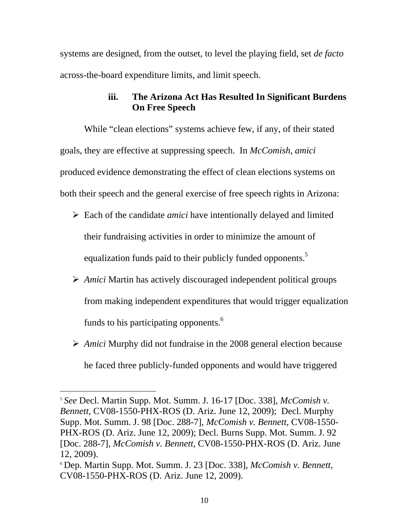systems are designed, from the outset, to level the playing field, set *de facto* across-the-board expenditure limits, and limit speech.

# **iii. The Arizona Act Has Resulted In Significant Burdens On Free Speech**

While "clean elections" systems achieve few, if any, of their stated goals, they are effective at suppressing speech. In *McComish*, *amici* produced evidence demonstrating the effect of clean elections systems on both their speech and the general exercise of free speech rights in Arizona:

- ¾ Each of the candidate *amici* have intentionally delayed and limited their fundraising activities in order to minimize the amount of equalization funds paid to their publicly funded opponents.<sup>5</sup>
- ¾ *Amici* Martin has actively discouraged independent political groups from making independent expenditures that would trigger equalization funds to his participating opponents.<sup>6</sup>
- ¾ *Amici* Murphy did not fundraise in the 2008 general election because he faced three publicly-funded opponents and would have triggered

<span id="page-16-0"></span><sup>5</sup> *See* Decl. Martin Supp. Mot. Summ. J. 16-17 [Doc. 338], *McComish v. Bennett*, CV08-1550-PHX-ROS (D. Ariz. June 12, 2009); Decl. Murphy Supp. Mot. Summ. J. 98 [Doc. 288-7], *McComish v. Bennett*, CV08-1550- PHX-ROS (D. Ariz. June 12, 2009); Decl. Burns Supp. Mot. Summ. J. 92 [Doc. 288-7], *McComish v. Bennett*, CV08-1550-PHX-ROS (D. Ariz. June 12, 2009).

<span id="page-16-1"></span><sup>6</sup> Dep. Martin Supp. Mot. Summ. J. 23 [Doc. 338], *McComish v. Bennett*, CV08-1550-PHX-ROS (D. Ariz. June 12, 2009).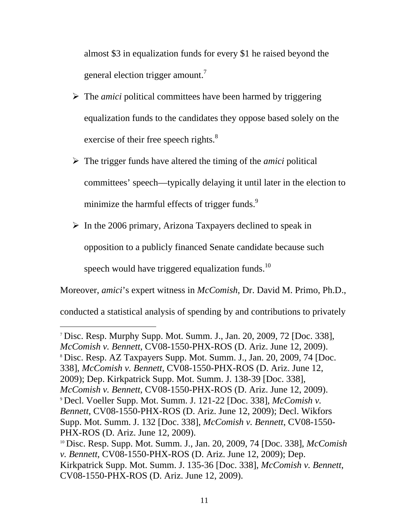almost \$3 in equalization funds for every \$1 he raised beyond the general election trigger amount.<sup>[7](#page-17-0)</sup>

- ¾ The *amici* political committees have been harmed by triggering equalization funds to the candidates they oppose based solely on the exercise of their free speech rights. $8<sup>8</sup>$  $8<sup>8</sup>$
- ¾ The trigger funds have altered the timing of the *amici* political committees' speech—typically delaying it until later in the election to minimize the harmful effects of trigger funds. $9$
- $\triangleright$  In the 2006 primary, Arizona Taxpayers declined to speak in opposition to a publicly financed Senate candidate because such speech would have triggered equalization funds. $10$

Moreover, *amici*'s expert witness in *McComish*, Dr. David M. Primo, Ph.D.,

conducted a statistical analysis of spending by and contributions to privately

<span id="page-17-0"></span><sup>7</sup> Disc. Resp. Murphy Supp. Mot. Summ. J., Jan. 20, 2009, 72 [Doc. 338], *McComish v. Bennett*, CV08-1550-PHX-ROS (D. Ariz. June 12, 2009).

<span id="page-17-1"></span><sup>8</sup> Disc. Resp. AZ Taxpayers Supp. Mot. Summ. J., Jan. 20, 2009, 74 [Doc.

338], *McComish v. Bennett*, CV08-1550-PHX-ROS (D. Ariz. June 12,

2009); Dep. Kirkpatrick Supp. Mot. Summ. J. 138-39 [Doc. 338],

<span id="page-17-2"></span>*McComish v. Bennett*, CV08-1550-PHX-ROS (D. Ariz. June 12, 2009). <sup>9</sup> Decl. Voeller Supp. Mot. Summ. J. 121-22 [Doc. 338], *McComish v. Bennett*, CV08-1550-PHX-ROS (D. Ariz. June 12, 2009); Decl. Wikfors Supp. Mot. Summ. J. 132 [Doc. 338], *McComish v. Bennett*, CV08-1550-

PHX-ROS (D. Ariz. June 12, 2009).

<span id="page-17-3"></span><sup>10</sup> Disc. Resp. Supp. Mot. Summ. J., Jan. 20, 2009, 74 [Doc. 338], *McComish v. Bennett*, CV08-1550-PHX-ROS (D. Ariz. June 12, 2009); Dep. Kirkpatrick Supp. Mot. Summ. J. 135-36 [Doc. 338], *McComish v. Bennett*, CV08-1550-PHX-ROS (D. Ariz. June 12, 2009).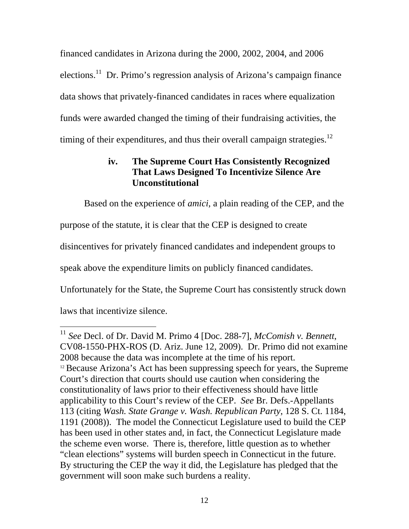financed candidates in Arizona during the 2000, 2002, 2004, and 2006 elections.<sup>11</sup> Dr. Primo's regression analysis of Arizona's campaign finance data shows that privately-financed candidates in races where equalization funds were awarded changed the timing of their fundraising activities, the timing of their expenditures, and thus their overall campaign strategies.<sup>[12](#page-18-1)</sup>

# **iv. The Supreme Court Has Consistently Recognized That Laws Designed To Incentivize Silence Are Unconstitutional**

Based on the experience of *amici*, a plain reading of the CEP, and the purpose of the statute, it is clear that the CEP is designed to create disincentives for privately financed candidates and independent groups to speak above the expenditure limits on publicly financed candidates. Unfortunately for the State, the Supreme Court has consistently struck down laws that incentivize silence.

<span id="page-18-1"></span><span id="page-18-0"></span><sup>11</sup> *See* Decl. of Dr. David M. Primo 4 [Doc. 288-7], *McComish v. Bennett*, CV08-1550-PHX-ROS (D. Ariz. June 12, 2009). Dr. Primo did not examine 2008 because the data was incomplete at the time of his report.  $12$  Because Arizona's Act has been suppressing speech for years, the Supreme Court's direction that courts should use caution when considering the constitutionality of laws prior to their effectiveness should have little applicability to this Court's review of the CEP. *See* Br. Defs.-Appellants 113 (citing *Wash. State Grange v. Wash. Republican Party*, 128 S. Ct. 1184, 1191 (2008)). The model the Connecticut Legislature used to build the CEP has been used in other states and, in fact, the Connecticut Legislature made the scheme even worse. There is, therefore, little question as to whether "clean elections" systems will burden speech in Connecticut in the future. By structuring the CEP the way it did, the Legislature has pledged that the government will soon make such burdens a reality.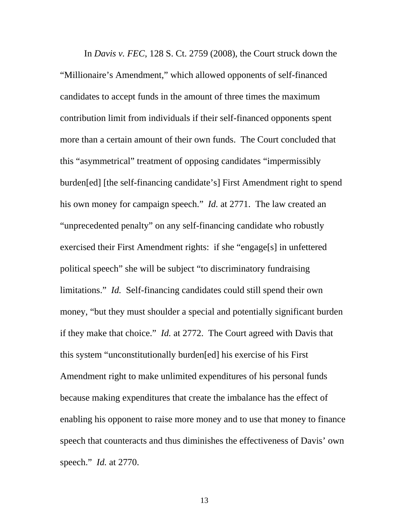In *Davis v. FEC*, 128 S. Ct. 2759 (2008), the Court struck down the "Millionaire's Amendment," which allowed opponents of self-financed candidates to accept funds in the amount of three times the maximum contribution limit from individuals if their self-financed opponents spent more than a certain amount of their own funds. The Court concluded that this "asymmetrical" treatment of opposing candidates "impermissibly burden[ed] [the self-financing candidate's] First Amendment right to spend his own money for campaign speech." *Id.* at 2771. The law created an "unprecedented penalty" on any self-financing candidate who robustly exercised their First Amendment rights: if she "engage[s] in unfettered political speech" she will be subject "to discriminatory fundraising limitations." *Id.* Self-financing candidates could still spend their own money, "but they must shoulder a special and potentially significant burden if they make that choice." *Id.* at 2772. The Court agreed with Davis that this system "unconstitutionally burden[ed] his exercise of his First Amendment right to make unlimited expenditures of his personal funds because making expenditures that create the imbalance has the effect of enabling his opponent to raise more money and to use that money to finance speech that counteracts and thus diminishes the effectiveness of Davis' own speech." *Id.* at 2770.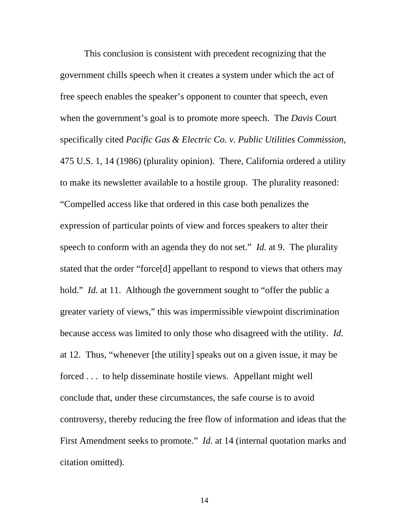This conclusion is consistent with precedent recognizing that the government chills speech when it creates a system under which the act of free speech enables the speaker's opponent to counter that speech, even when the government's goal is to promote more speech. The *Davis* Court specifically cited *Pacific Gas & Electric Co. v. Public Utilities Commission,*  475 U.S. 1, 14 (1986) (plurality opinion). There, California ordered a utility to make its newsletter available to a hostile group. The plurality reasoned: "Compelled access like that ordered in this case both penalizes the expression of particular points of view and forces speakers to alter their speech to conform with an agenda they do not set." *Id.* at 9. The plurality stated that the order "force[d] appellant to respond to views that others may hold." *Id.* at 11. Although the government sought to "offer the public a greater variety of views," this was impermissible viewpoint discrimination because access was limited to only those who disagreed with the utility. *Id.* at 12. Thus, "whenever [the utility] speaks out on a given issue, it may be forced . . . to help disseminate hostile views. Appellant might well conclude that, under these circumstances, the safe course is to avoid controversy, thereby reducing the free flow of information and ideas that the First Amendment seeks to promote." *Id.* at 14 (internal quotation marks and citation omitted).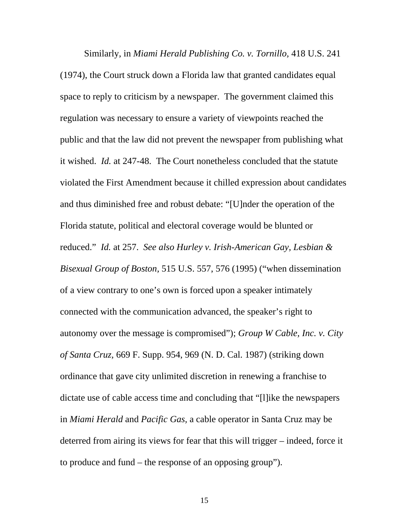Similarly, in *Miami Herald Publishing Co. v. Tornillo,* 418 U.S. 241 (1974), the Court struck down a Florida law that granted candidates equal space to reply to criticism by a newspaper. The government claimed this regulation was necessary to ensure a variety of viewpoints reached the public and that the law did not prevent the newspaper from publishing what it wished. *Id.* at 247-48. The Court nonetheless concluded that the statute violated the First Amendment because it chilled expression about candidates and thus diminished free and robust debate: "[U]nder the operation of the Florida statute, political and electoral coverage would be blunted or reduced." *Id.* at 257. *See also Hurley v. Irish-American Gay, Lesbian & Bisexual Group of Boston,* 515 U.S. 557, 576 (1995) ("when dissemination of a view contrary to one's own is forced upon a speaker intimately connected with the communication advanced, the speaker's right to autonomy over the message is compromised"); *Group W Cable, Inc. v. City of Santa Cruz,* 669 F. Supp. 954, 969 (N. D. Cal. 1987) (striking down ordinance that gave city unlimited discretion in renewing a franchise to dictate use of cable access time and concluding that "[l]ike the newspapers in *Miami Herald* and *Pacific Gas,* a cable operator in Santa Cruz may be deterred from airing its views for fear that this will trigger – indeed, force it to produce and fund – the response of an opposing group").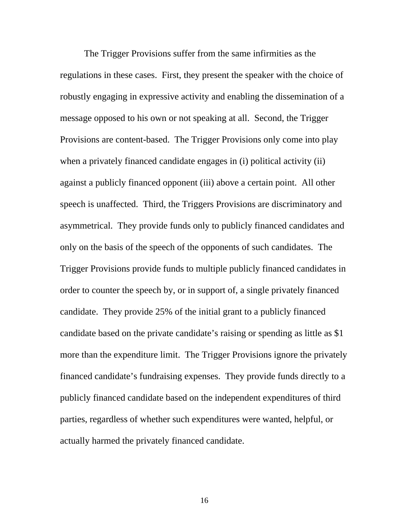The Trigger Provisions suffer from the same infirmities as the regulations in these cases. First, they present the speaker with the choice of robustly engaging in expressive activity and enabling the dissemination of a message opposed to his own or not speaking at all. Second, the Trigger Provisions are content-based. The Trigger Provisions only come into play when a privately financed candidate engages in (i) political activity (ii) against a publicly financed opponent (iii) above a certain point. All other speech is unaffected. Third*,* the Triggers Provisions are discriminatory and asymmetrical. They provide funds only to publicly financed candidates and only on the basis of the speech of the opponents of such candidates. The Trigger Provisions provide funds to multiple publicly financed candidates in order to counter the speech by, or in support of, a single privately financed candidate. They provide 25% of the initial grant to a publicly financed candidate based on the private candidate's raising or spending as little as \$1 more than the expenditure limit. The Trigger Provisions ignore the privately financed candidate's fundraising expenses. They provide funds directly to a publicly financed candidate based on the independent expenditures of third parties, regardless of whether such expenditures were wanted, helpful, or actually harmed the privately financed candidate.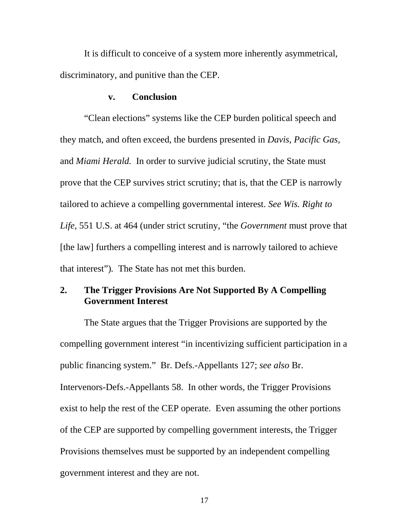It is difficult to conceive of a system more inherently asymmetrical, discriminatory, and punitive than the CEP.

#### **v. Conclusion**

"Clean elections" systems like the CEP burden political speech and they match, and often exceed, the burdens presented in *Davis, Pacific Gas,*  and *Miami Herald.* In order to survive judicial scrutiny, the State must prove that the CEP survives strict scrutiny; that is, that the CEP is narrowly tailored to achieve a compelling governmental interest. *See Wis. Right to Life,* 551 U.S. at 464 (under strict scrutiny, "the *Government* must prove that [the law] furthers a compelling interest and is narrowly tailored to achieve that interest")*.* The State has not met this burden.

### **2. The Trigger Provisions Are Not Supported By A Compelling Government Interest**

The State argues that the Trigger Provisions are supported by the compelling government interest "in incentivizing sufficient participation in a public financing system." Br. Defs.-Appellants 127; *see also* Br. Intervenors-Defs.-Appellants 58. In other words, the Trigger Provisions exist to help the rest of the CEP operate. Even assuming the other portions of the CEP are supported by compelling government interests, the Trigger Provisions themselves must be supported by an independent compelling government interest and they are not.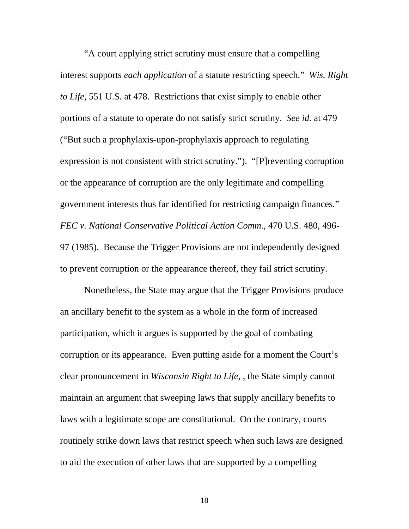"A court applying strict scrutiny must ensure that a compelling interest supports *each application* of a statute restricting speech." *Wis. Right to Life,* 551 U.S. at 478. Restrictions that exist simply to enable other portions of a statute to operate do not satisfy strict scrutiny. *See id.* at 479 ("But such a prophylaxis-upon-prophylaxis approach to regulating expression is not consistent with strict scrutiny."). "[P]reventing corruption or the appearance of corruption are the only legitimate and compelling government interests thus far identified for restricting campaign finances." *FEC v. National Conservative Political Action Comm.,* 470 U.S. 480, 496- 97 (1985). Because the Trigger Provisions are not independently designed to prevent corruption or the appearance thereof, they fail strict scrutiny.

Nonetheless, the State may argue that the Trigger Provisions produce an ancillary benefit to the system as a whole in the form of increased participation, which it argues is supported by the goal of combating corruption or its appearance. Even putting aside for a moment the Court's clear pronouncement in *Wisconsin Right to Life*, , the State simply cannot maintain an argument that sweeping laws that supply ancillary benefits to laws with a legitimate scope are constitutional. On the contrary, courts routinely strike down laws that restrict speech when such laws are designed to aid the execution of other laws that are supported by a compelling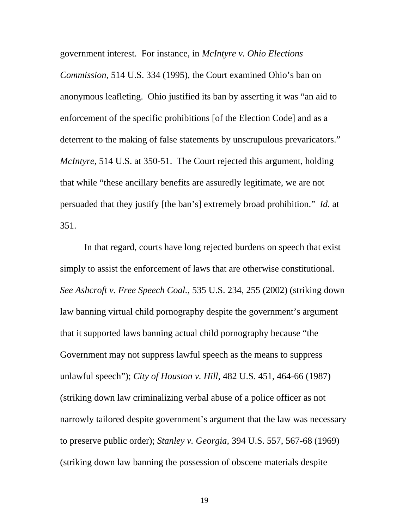government interest. For instance, in *McIntyre v. Ohio Elections* 

*Commission*, 514 U.S. 334 (1995), the Court examined Ohio's ban on anonymous leafleting. Ohio justified its ban by asserting it was "an aid to enforcement of the specific prohibitions [of the Election Code] and as a deterrent to the making of false statements by unscrupulous prevaricators." *McIntyre,* 514 U.S. at 350-51. The Court rejected this argument, holding that while "these ancillary benefits are assuredly legitimate, we are not persuaded that they justify [the ban's] extremely broad prohibition." *Id.* at 351.

In that regard, courts have long rejected burdens on speech that exist simply to assist the enforcement of laws that are otherwise constitutional. *See Ashcroft v. Free Speech Coal.,* 535 U.S. 234, 255 (2002) (striking down law banning virtual child pornography despite the government's argument that it supported laws banning actual child pornography because "the Government may not suppress lawful speech as the means to suppress unlawful speech"); *City of Houston v. Hill,* 482 U.S. 451, 464-66 (1987) (striking down law criminalizing verbal abuse of a police officer as not narrowly tailored despite government's argument that the law was necessary to preserve public order); *Stanley v. Georgia,* 394 U.S. 557, 567-68 (1969) (striking down law banning the possession of obscene materials despite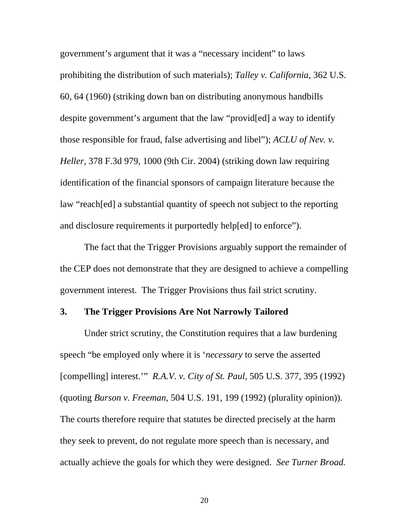government's argument that it was a "necessary incident" to laws prohibiting the distribution of such materials); *Talley v. California,* 362 U.S. 60, 64 (1960) (striking down ban on distributing anonymous handbills despite government's argument that the law "provid[ed] a way to identify those responsible for fraud, false advertising and libel"); *ACLU of Nev. v. Heller,* 378 F.3d 979, 1000 (9th Cir. 2004) (striking down law requiring identification of the financial sponsors of campaign literature because the law "reach[ed] a substantial quantity of speech not subject to the reporting and disclosure requirements it purportedly help[ed] to enforce").

The fact that the Trigger Provisions arguably support the remainder of the CEP does not demonstrate that they are designed to achieve a compelling government interest. The Trigger Provisions thus fail strict scrutiny.

#### **3. The Trigger Provisions Are Not Narrowly Tailored**

Under strict scrutiny, the Constitution requires that a law burdening speech "be employed only where it is '*necessary* to serve the asserted [compelling] interest.'" *R.A.V. v. City of St. Paul,* 505 U.S. 377, 395 (1992) (quoting *Burson v. Freeman,* 504 U.S. 191, 199 (1992) (plurality opinion)). The courts therefore require that statutes be directed precisely at the harm they seek to prevent, do not regulate more speech than is necessary, and actually achieve the goals for which they were designed. *See Turner Broad.*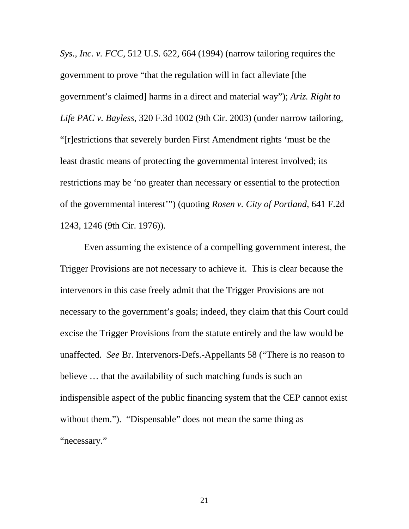*Sys., Inc. v. FCC,* 512 U.S. 622, 664 (1994) (narrow tailoring requires the government to prove "that the regulation will in fact alleviate [the government's claimed] harms in a direct and material way"); *Ariz. Right to Life PAC v. Bayless,* 320 F.3d 1002 (9th Cir. 2003) (under narrow tailoring, "[r]estrictions that severely burden First Amendment rights 'must be the least drastic means of protecting the governmental interest involved; its restrictions may be 'no greater than necessary or essential to the protection of the governmental interest'") (quoting *Rosen v. City of Portland,* 641 F.2d 1243, 1246 (9th Cir. 1976)).

Even assuming the existence of a compelling government interest, the Trigger Provisions are not necessary to achieve it. This is clear because the intervenors in this case freely admit that the Trigger Provisions are not necessary to the government's goals; indeed, they claim that this Court could excise the Trigger Provisions from the statute entirely and the law would be unaffected. *See* Br. Intervenors-Defs.-Appellants 58 ("There is no reason to believe … that the availability of such matching funds is such an indispensible aspect of the public financing system that the CEP cannot exist without them."). "Dispensable" does not mean the same thing as "necessary."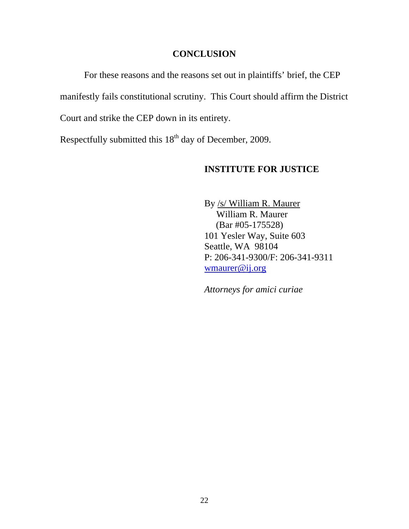#### **CONCLUSION**

For these reasons and the reasons set out in plaintiffs' brief, the CEP manifestly fails constitutional scrutiny. This Court should affirm the District Court and strike the CEP down in its entirety.

Respectfully submitted this  $18<sup>th</sup>$  day of December, 2009.

#### **INSTITUTE FOR JUSTICE**

 By /s/ William R. Maurer William R. Maurer (Bar #05-175528) 101 Yesler Way, Suite 603 Seattle, WA 98104 P: 206-341-9300/F: 206-341-9311 [wmaurer@ij.org](mailto:wmaurer@ij.org)

*Attorneys for amici curiae*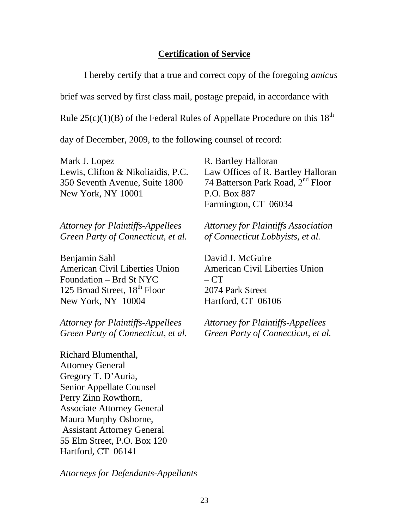#### **Certification of Service**

I hereby certify that a true and correct copy of the foregoing *amicus*

brief was served by first class mail, postage prepaid, in accordance with

Rule  $25(c)(1)(B)$  of the Federal Rules of Appellate Procedure on this  $18<sup>th</sup>$ 

day of December, 2009, to the following counsel of record:

Mark J. Lopez R. Bartley Halloran New York, NY 10001 P.O. Box 887

*Attorney for Plaintiffs-Appellees Attorney for Plaintiffs Association Green Party of Connecticut, et al. of Connecticut Lobbyists, et al.*

Benjamin Sahl David J. McGuire American Civil Liberties Union American Civil Liberties Union  $F$ oundation – Brd St NYC –  $CT$ 125 Broad Street, 18<sup>th</sup> Floor 2074 Park Street New York, NY 10004 Hartford, CT 06106

*Attorney for Plaintiffs-Appellees Attorney for Plaintiffs-Appellees* 

Richard Blumenthal, Attorney General Gregory T. D'Auria, Senior Appellate Counsel Perry Zinn Rowthorn, Associate Attorney General Maura Murphy Osborne, Assistant Attorney General 55 Elm Street, P.O. Box 120 Hartford, CT 06141

*Attorneys for Defendants-Appellants* 

Lewis, Clifton & Nikoliaidis, P.C. Law Offices of R. Bartley Halloran 350 Seventh Avenue, Suite 1800 74 Batterson Park Road, 2<sup>nd</sup> Floor Farmington, CT 06034

*Green Party of Connecticut, et al. Green Party of Connecticut, et al.*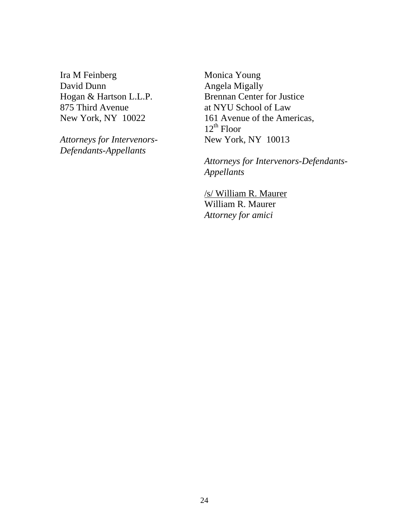Ira M Feinberg Monica Young David Dunn Angela Migally 875 Third Avenue at NYU School of Law

**Attorneys for Intervenors-***Defendants-Appellants*

Hogan & Hartson L.L.P. Brennan Center for Justice New York, NY 10022 161 Avenue of the Americas,  $12^{th}$  Floor<br>New York, NY 10013

> *Attorneys for Intervenors-Defendants- Appellants*

/s/ William R. Maurer William R. Maurer *Attorney for amici*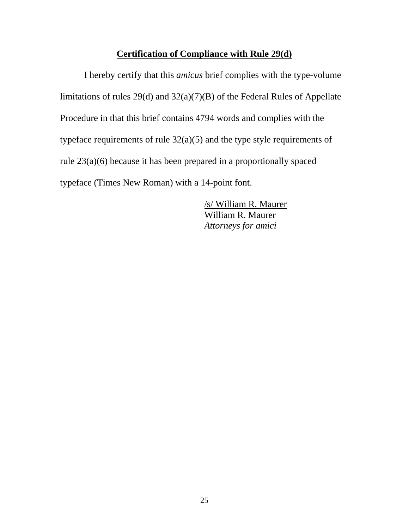# **Certification of Compliance with Rule 29(d)**

I hereby certify that this *amicus* brief complies with the type-volume limitations of rules 29(d) and 32(a)(7)(B) of the Federal Rules of Appellate Procedure in that this brief contains 4794 words and complies with the typeface requirements of rule 32(a)(5) and the type style requirements of rule 23(a)(6) because it has been prepared in a proportionally spaced typeface (Times New Roman) with a 14-point font.

> /s/ William R. Maurer William R. Maurer *Attorneys for amici*